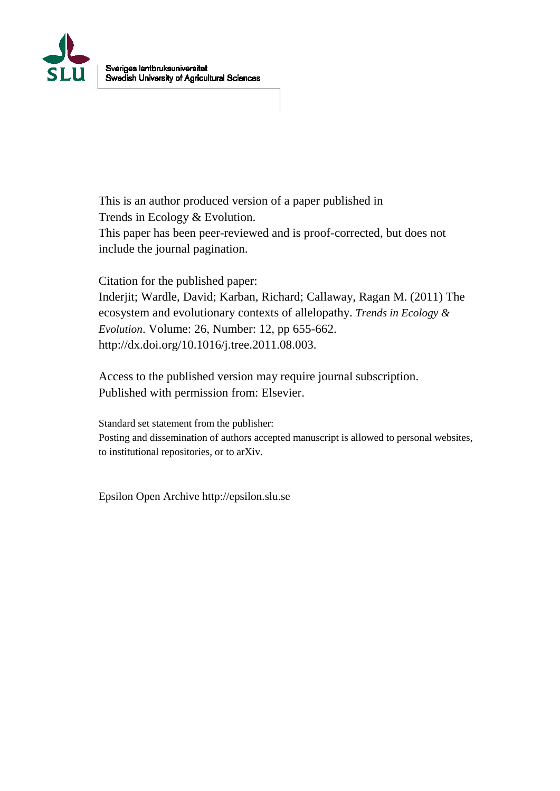

This is an author produced version of a paper published in Trends in Ecology & Evolution. This paper has been peer-reviewed and is proof-corrected, but does not include the journal pagination.

Citation for the published paper:

Inderjit; Wardle, David; Karban, Richard; Callaway, Ragan M. (2011) The ecosystem and evolutionary contexts of allelopathy. *Trends in Ecology & Evolution*. Volume: 26, Number: 12, pp 655-662. http://dx.doi.org/10.1016/j.tree.2011.08.003.

Access to the published version may require journal subscription. Published with permission from: Elsevier.

Standard set statement from the publisher: Posting and dissemination of authors accepted manuscript is allowed to personal websites, to institutional repositories, or to arXiv.

Epsilon Open Archive http://epsilon.slu.se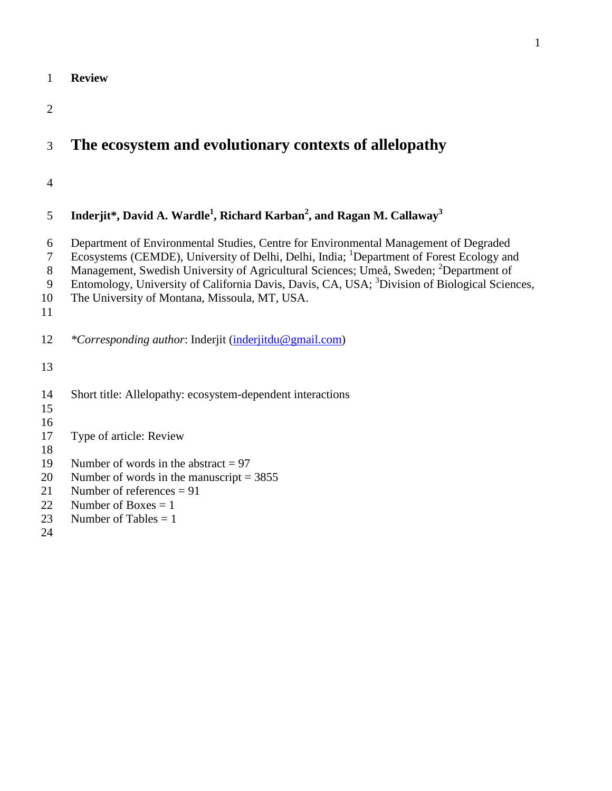| $\overline{2}$<br>The ecosystem and evolutionary contexts of allelopathy<br>3<br>$\overline{4}$<br>Inderjit*, David A. Wardle <sup>1</sup> , Richard Karban <sup>2</sup> , and Ragan M. Callaway <sup>3</sup><br>5<br>Department of Environmental Studies, Centre for Environmental Management of Degraded<br>6<br>Ecosystems (CEMDE), University of Delhi, Delhi, India; <sup>1</sup> Department of Forest Ecology and<br>$\tau$<br>Management, Swedish University of Agricultural Sciences; Umeå, Sweden; <sup>2</sup> Department of<br>8<br>Entomology, University of California Davis, Davis, CA, USA; <sup>3</sup> Division of Biological Sciences,<br>9<br>The University of Montana, Missoula, MT, USA.<br>10<br>11<br>12<br><i>*Corresponding author:</i> Inderjit (inderjitdu@gmail.com)<br>13<br>14<br>Short title: Allelopathy: ecosystem-dependent interactions<br>15<br>16<br>17<br>Type of article: Review<br>18<br>Number of words in the abstract $= 97$<br>19<br>Number of words in the manuscript = $3855$<br>20<br>Number of references $= 91$<br>21<br>22<br>Number of Boxes $= 1$<br>Number of Tables $= 1$<br>23 | 1  | <b>Review</b> |
|----------------------------------------------------------------------------------------------------------------------------------------------------------------------------------------------------------------------------------------------------------------------------------------------------------------------------------------------------------------------------------------------------------------------------------------------------------------------------------------------------------------------------------------------------------------------------------------------------------------------------------------------------------------------------------------------------------------------------------------------------------------------------------------------------------------------------------------------------------------------------------------------------------------------------------------------------------------------------------------------------------------------------------------------------------------------------------------------------------------------------------------|----|---------------|
|                                                                                                                                                                                                                                                                                                                                                                                                                                                                                                                                                                                                                                                                                                                                                                                                                                                                                                                                                                                                                                                                                                                                        |    |               |
|                                                                                                                                                                                                                                                                                                                                                                                                                                                                                                                                                                                                                                                                                                                                                                                                                                                                                                                                                                                                                                                                                                                                        |    |               |
|                                                                                                                                                                                                                                                                                                                                                                                                                                                                                                                                                                                                                                                                                                                                                                                                                                                                                                                                                                                                                                                                                                                                        |    |               |
|                                                                                                                                                                                                                                                                                                                                                                                                                                                                                                                                                                                                                                                                                                                                                                                                                                                                                                                                                                                                                                                                                                                                        |    |               |
|                                                                                                                                                                                                                                                                                                                                                                                                                                                                                                                                                                                                                                                                                                                                                                                                                                                                                                                                                                                                                                                                                                                                        |    |               |
|                                                                                                                                                                                                                                                                                                                                                                                                                                                                                                                                                                                                                                                                                                                                                                                                                                                                                                                                                                                                                                                                                                                                        |    |               |
|                                                                                                                                                                                                                                                                                                                                                                                                                                                                                                                                                                                                                                                                                                                                                                                                                                                                                                                                                                                                                                                                                                                                        |    |               |
|                                                                                                                                                                                                                                                                                                                                                                                                                                                                                                                                                                                                                                                                                                                                                                                                                                                                                                                                                                                                                                                                                                                                        |    |               |
|                                                                                                                                                                                                                                                                                                                                                                                                                                                                                                                                                                                                                                                                                                                                                                                                                                                                                                                                                                                                                                                                                                                                        |    |               |
|                                                                                                                                                                                                                                                                                                                                                                                                                                                                                                                                                                                                                                                                                                                                                                                                                                                                                                                                                                                                                                                                                                                                        |    |               |
|                                                                                                                                                                                                                                                                                                                                                                                                                                                                                                                                                                                                                                                                                                                                                                                                                                                                                                                                                                                                                                                                                                                                        |    |               |
|                                                                                                                                                                                                                                                                                                                                                                                                                                                                                                                                                                                                                                                                                                                                                                                                                                                                                                                                                                                                                                                                                                                                        |    |               |
|                                                                                                                                                                                                                                                                                                                                                                                                                                                                                                                                                                                                                                                                                                                                                                                                                                                                                                                                                                                                                                                                                                                                        |    |               |
|                                                                                                                                                                                                                                                                                                                                                                                                                                                                                                                                                                                                                                                                                                                                                                                                                                                                                                                                                                                                                                                                                                                                        |    |               |
|                                                                                                                                                                                                                                                                                                                                                                                                                                                                                                                                                                                                                                                                                                                                                                                                                                                                                                                                                                                                                                                                                                                                        |    |               |
|                                                                                                                                                                                                                                                                                                                                                                                                                                                                                                                                                                                                                                                                                                                                                                                                                                                                                                                                                                                                                                                                                                                                        |    |               |
|                                                                                                                                                                                                                                                                                                                                                                                                                                                                                                                                                                                                                                                                                                                                                                                                                                                                                                                                                                                                                                                                                                                                        |    |               |
|                                                                                                                                                                                                                                                                                                                                                                                                                                                                                                                                                                                                                                                                                                                                                                                                                                                                                                                                                                                                                                                                                                                                        |    |               |
|                                                                                                                                                                                                                                                                                                                                                                                                                                                                                                                                                                                                                                                                                                                                                                                                                                                                                                                                                                                                                                                                                                                                        |    |               |
|                                                                                                                                                                                                                                                                                                                                                                                                                                                                                                                                                                                                                                                                                                                                                                                                                                                                                                                                                                                                                                                                                                                                        |    |               |
|                                                                                                                                                                                                                                                                                                                                                                                                                                                                                                                                                                                                                                                                                                                                                                                                                                                                                                                                                                                                                                                                                                                                        |    |               |
|                                                                                                                                                                                                                                                                                                                                                                                                                                                                                                                                                                                                                                                                                                                                                                                                                                                                                                                                                                                                                                                                                                                                        | 24 |               |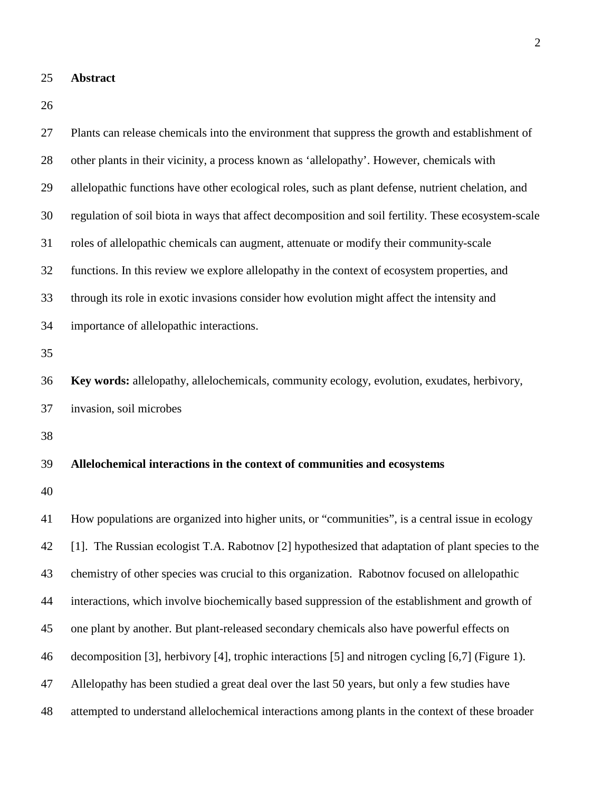**Abstract**

| 27 | Plants can release chemicals into the environment that suppress the growth and establishment of      |
|----|------------------------------------------------------------------------------------------------------|
| 28 | other plants in their vicinity, a process known as 'allelopathy'. However, chemicals with            |
| 29 | allelopathic functions have other ecological roles, such as plant defense, nutrient chelation, and   |
| 30 | regulation of soil biota in ways that affect decomposition and soil fertility. These ecosystem-scale |
| 31 | roles of allelopathic chemicals can augment, attenuate or modify their community-scale               |
| 32 | functions. In this review we explore allelopathy in the context of ecosystem properties, and         |
| 33 | through its role in exotic invasions consider how evolution might affect the intensity and           |
| 34 | importance of allelopathic interactions.                                                             |
| 35 |                                                                                                      |
| 36 | Key words: allelopathy, allelochemicals, community ecology, evolution, exudates, herbivory,          |
| 37 | invasion, soil microbes                                                                              |
| 38 |                                                                                                      |
| 39 | Allelochemical interactions in the context of communities and ecosystems                             |
| 40 |                                                                                                      |
| 41 | How populations are organized into higher units, or "communities", is a central issue in ecology     |
| 42 | [1]. The Russian ecologist T.A. Rabotnov [2] hypothesized that adaptation of plant species to the    |
| 43 | chemistry of other species was crucial to this organization. Rabotnov focused on allelopathic        |
| 44 | interactions, which involve biochemically based suppression of the establishment and growth of       |
| 45 | one plant by another. But plant-released secondary chemicals also have powerful effects on           |
| 46 | decomposition [3], herbivory [4], trophic interactions [5] and nitrogen cycling [6,7] (Figure 1).    |
| 47 | Allelopathy has been studied a great deal over the last 50 years, but only a few studies have        |
| 48 | attempted to understand allelochemical interactions among plants in the context of these broader     |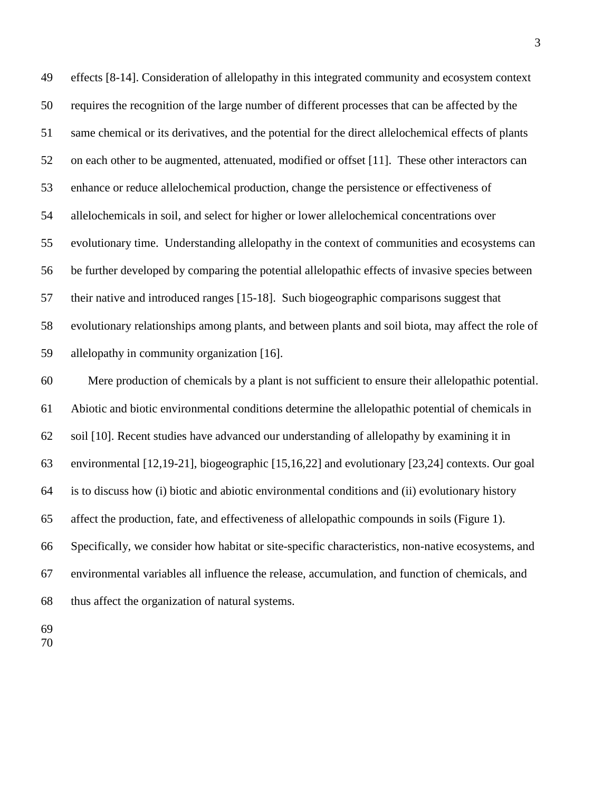effects [8-14]. Consideration of allelopathy in this integrated community and ecosystem context requires the recognition of the large number of different processes that can be affected by the same chemical or its derivatives, and the potential for the direct allelochemical effects of plants on each other to be augmented, attenuated, modified or offset [11]. These other interactors can enhance or reduce allelochemical production, change the persistence or effectiveness of allelochemicals in soil, and select for higher or lower allelochemical concentrations over evolutionary time. Understanding allelopathy in the context of communities and ecosystems can be further developed by comparing the potential allelopathic effects of invasive species between their native and introduced ranges [15-18]. Such biogeographic comparisons suggest that evolutionary relationships among plants, and between plants and soil biota, may affect the role of allelopathy in community organization [16].

 Mere production of chemicals by a plant is not sufficient to ensure their allelopathic potential. Abiotic and biotic environmental conditions determine the allelopathic potential of chemicals in soil [10]. Recent studies have advanced our understanding of allelopathy by examining it in environmental [12,19-21], biogeographic [15,16,22] and evolutionary [23,24] contexts. Our goal is to discuss how (i) biotic and abiotic environmental conditions and (ii) evolutionary history affect the production, fate, and effectiveness of allelopathic compounds in soils (Figure 1). Specifically, we consider how habitat or site-specific characteristics, non-native ecosystems, and environmental variables all influence the release, accumulation, and function of chemicals, and thus affect the organization of natural systems.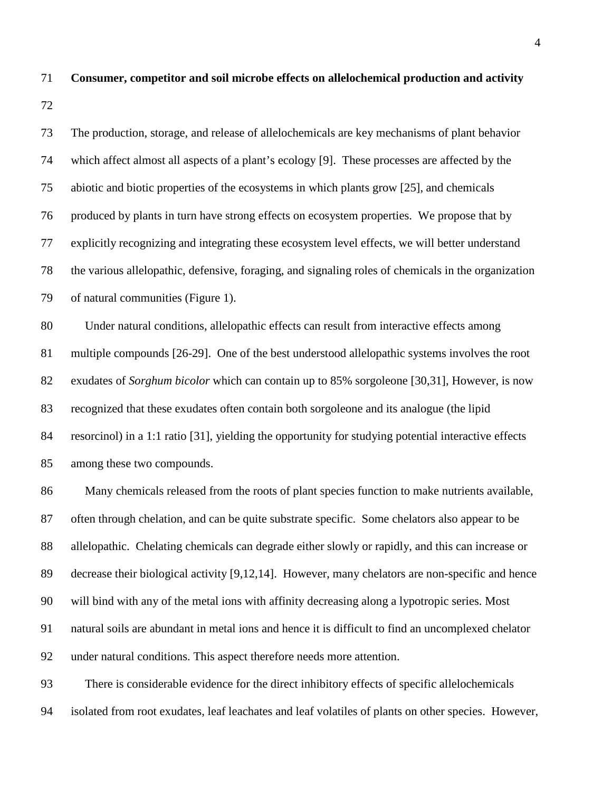The production, storage, and release of allelochemicals are key mechanisms of plant behavior which affect almost all aspects of a plant's ecology [9]. These processes are affected by the abiotic and biotic properties of the ecosystems in which plants grow [25], and chemicals produced by plants in turn have strong effects on ecosystem properties. We propose that by explicitly recognizing and integrating these ecosystem level effects, we will better understand the various allelopathic, defensive, foraging, and signaling roles of chemicals in the organization of natural communities (Figure 1). Under natural conditions, allelopathic effects can result from interactive effects among multiple compounds [26-29]. One of the best understood allelopathic systems involves the root exudates of *Sorghum bicolor* which can contain up to 85% sorgoleone [30,31], However, is now recognized that these exudates often contain both sorgoleone and its analogue (the lipid resorcinol) in a 1:1 ratio [31], yielding the opportunity for studying potential interactive effects among these two compounds. 86 Many chemicals released from the roots of plant species function to make nutrients available, often through chelation, and can be quite substrate specific. Some chelators also appear to be allelopathic. Chelating chemicals can degrade either slowly or rapidly, and this can increase or decrease their biological activity [9,12,14]. However, many chelators are non-specific and hence will bind with any of the metal ions with affinity decreasing along a lypotropic series. Most

**Consumer, competitor and soil microbe effects on allelochemical production and activity** 

natural soils are abundant in metal ions and hence it is difficult to find an uncomplexed chelator

under natural conditions. This aspect therefore needs more attention.

 There is considerable evidence for the direct inhibitory effects of specific allelochemicals isolated from root exudates, leaf leachates and leaf volatiles of plants on other species. However,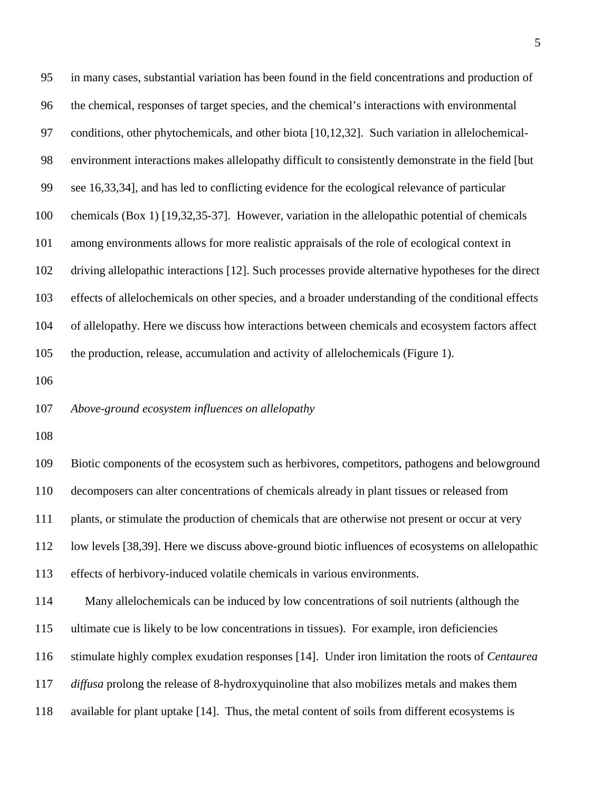| 95  | in many cases, substantial variation has been found in the field concentrations and production of      |
|-----|--------------------------------------------------------------------------------------------------------|
| 96  | the chemical, responses of target species, and the chemical's interactions with environmental          |
| 97  | conditions, other phytochemicals, and other biota [10,12,32]. Such variation in allelochemical-        |
| 98  | environment interactions makes allelopathy difficult to consistently demonstrate in the field [but     |
| 99  | see 16,33,34], and has led to conflicting evidence for the ecological relevance of particular          |
| 100 | chemicals (Box 1) [19,32,35-37]. However, variation in the allelopathic potential of chemicals         |
| 101 | among environments allows for more realistic appraisals of the role of ecological context in           |
| 102 | driving allelopathic interactions [12]. Such processes provide alternative hypotheses for the direct   |
| 103 | effects of allelochemicals on other species, and a broader understanding of the conditional effects    |
| 104 | of allelopathy. Here we discuss how interactions between chemicals and ecosystem factors affect        |
| 105 | the production, release, accumulation and activity of allelochemicals (Figure 1).                      |
| 106 |                                                                                                        |
|     |                                                                                                        |
| 107 | Above-ground ecosystem influences on allelopathy                                                       |
| 108 |                                                                                                        |
| 109 | Biotic components of the ecosystem such as herbivores, competitors, pathogens and belowground          |
| 110 | decomposers can alter concentrations of chemicals already in plant tissues or released from            |
| 111 | plants, or stimulate the production of chemicals that are otherwise not present or occur at very       |
| 112 | low levels [38,39]. Here we discuss above-ground biotic influences of ecosystems on allelopathic       |
| 113 | effects of herbivory-induced volatile chemicals in various environments.                               |
| 114 | Many allelochemicals can be induced by low concentrations of soil nutrients (although the              |
| 115 | ultimate cue is likely to be low concentrations in tissues). For example, iron deficiencies            |
| 116 | stimulate highly complex exudation responses [14]. Under iron limitation the roots of <i>Centaurea</i> |
| 117 | <i>diffusa</i> prolong the release of 8-hydroxyquinoline that also mobilizes metals and makes them     |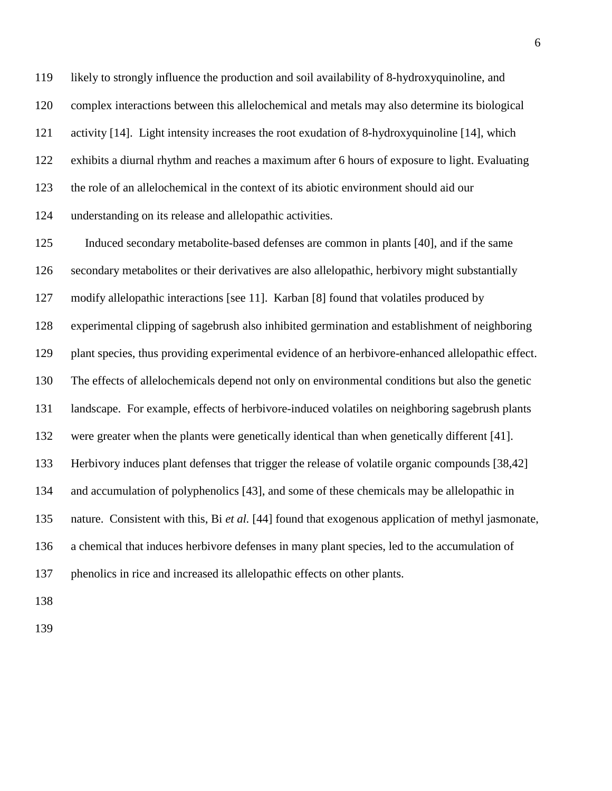likely to strongly influence the production and soil availability of 8-hydroxyquinoline, and complex interactions between this allelochemical and metals may also determine its biological activity [14]. Light intensity increases the root exudation of 8-hydroxyquinoline [14], which exhibits a diurnal rhythm and reaches a maximum after 6 hours of exposure to light. Evaluating the role of an allelochemical in the context of its abiotic environment should aid our understanding on its release and allelopathic activities.

 Induced secondary metabolite-based defenses are common in plants [40], and if the same secondary metabolites or their derivatives are also allelopathic, herbivory might substantially modify allelopathic interactions [see 11]. Karban [8] found that volatiles produced by experimental clipping of sagebrush also inhibited germination and establishment of neighboring plant species, thus providing experimental evidence of an herbivore-enhanced allelopathic effect. The effects of allelochemicals depend not only on environmental conditions but also the genetic landscape. For example, effects of herbivore-induced volatiles on neighboring sagebrush plants were greater when the plants were genetically identical than when genetically different [41]. Herbivory induces plant defenses that trigger the release of volatile organic compounds [38,42] and accumulation of polyphenolics [43], and some of these chemicals may be allelopathic in nature. Consistent with this, Bi *et al.* [44] found that exogenous application of methyl jasmonate, a chemical that induces herbivore defenses in many plant species, led to the accumulation of phenolics in rice and increased its allelopathic effects on other plants.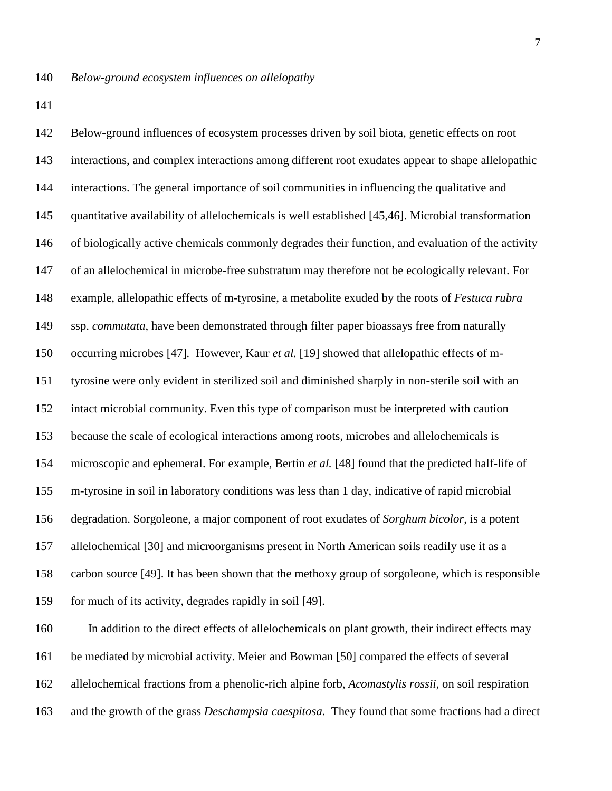Below-ground influences of ecosystem processes driven by soil biota, genetic effects on root interactions, and complex interactions among different root exudates appear to shape allelopathic interactions. The general importance of soil communities in influencing the qualitative and quantitative availability of allelochemicals is well established [45,46]. Microbial transformation of biologically active chemicals commonly degrades their function, and evaluation of the activity of an allelochemical in microbe-free substratum may therefore not be ecologically relevant. For example, allelopathic effects of m-tyrosine, a metabolite exuded by the roots of *Festuca rubra* ssp. *commutata*, have been demonstrated through filter paper bioassays free from naturally occurring microbes [47]*.* However, Kaur *et al.* [19] showed that allelopathic effects of m- tyrosine were only evident in sterilized soil and diminished sharply in non-sterile soil with an intact microbial community. Even this type of comparison must be interpreted with caution because the scale of ecological interactions among roots, microbes and allelochemicals is microscopic and ephemeral. For example, Bertin *et al.* [48] found that the predicted half-life of m-tyrosine in soil in laboratory conditions was less than 1 day, indicative of rapid microbial degradation. Sorgoleone, a major component of root exudates of *Sorghum bicolor*, is a potent allelochemical [30] and microorganisms present in North American soils readily use it as a carbon source [49]. It has been shown that the methoxy group of sorgoleone, which is responsible for much of its activity, degrades rapidly in soil [49]. In addition to the direct effects of allelochemicals on plant growth, their indirect effects may

allelochemical fractions from a phenolic-rich alpine forb, *Acomastylis rossii*, on soil respiration

be mediated by microbial activity. Meier and Bowman [50] compared the effects of several

and the growth of the grass *Deschampsia caespitosa*. They found that some fractions had a direct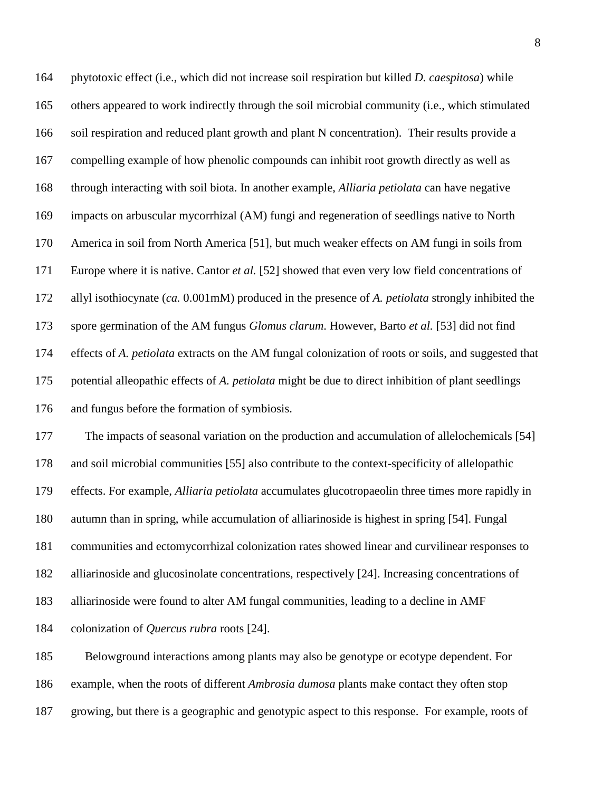phytotoxic effect (i.e., which did not increase soil respiration but killed *D. caespitosa*) while others appeared to work indirectly through the soil microbial community (i.e., which stimulated soil respiration and reduced plant growth and plant N concentration). Their results provide a compelling example of how phenolic compounds can inhibit root growth directly as well as through interacting with soil biota. In another example, *Alliaria petiolata* can have negative impacts on arbuscular mycorrhizal (AM) fungi and regeneration of seedlings native to North America in soil from North America [51], but much weaker effects on AM fungi in soils from Europe where it is native. Cantor *et al.* [52] showed that even very low field concentrations of allyl isothiocynate (*ca.* 0.001mM) produced in the presence of *A. petiolata* strongly inhibited the spore germination of the AM fungus *Glomus clarum*. However, Barto *et al.* [53] did not find effects of *A. petiolata* extracts on the AM fungal colonization of roots or soils, and suggested that potential alleopathic effects of *A. petiolata* might be due to direct inhibition of plant seedlings and fungus before the formation of symbiosis.

 The impacts of seasonal variation on the production and accumulation of allelochemicals [54] and soil microbial communities [55] also contribute to the context-specificity of allelopathic effects. For example, *Alliaria petiolata* accumulates glucotropaeolin three times more rapidly in autumn than in spring, while accumulation of alliarinoside is highest in spring [54]. Fungal communities and ectomycorrhizal colonization rates showed linear and curvilinear responses to alliarinoside and glucosinolate concentrations, respectively [24]. Increasing concentrations of alliarinoside were found to alter AM fungal communities, leading to a decline in AMF colonization of *Quercus rubra* roots [24].

 Belowground interactions among plants may also be genotype or ecotype dependent. For example, when the roots of different *Ambrosia dumosa* plants make contact they often stop growing, but there is a geographic and genotypic aspect to this response. For example, roots of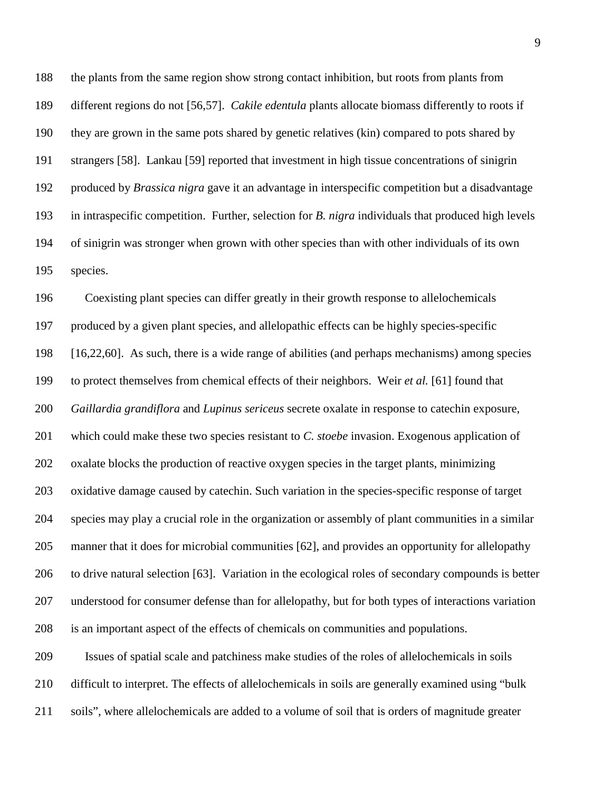the plants from the same region show strong contact inhibition, but roots from plants from different regions do not [56,57]. *Cakile edentula* plants allocate biomass differently to roots if they are grown in the same pots shared by genetic relatives (kin) compared to pots shared by strangers [58]. Lankau [59] reported that investment in high tissue concentrations of sinigrin produced by *Brassica nigra* gave it an advantage in interspecific competition but a disadvantage in intraspecific competition. Further, selection for *B. nigra* individuals that produced high levels of sinigrin was stronger when grown with other species than with other individuals of its own species.

 Coexisting plant species can differ greatly in their growth response to allelochemicals produced by a given plant species, and allelopathic effects can be highly species-specific [16,22,60]. As such, there is a wide range of abilities (and perhaps mechanisms) among species to protect themselves from chemical effects of their neighbors. Weir *et al.* [61] found that *Gaillardia grandiflora* and *Lupinus sericeus* secrete oxalate in response to catechin exposure, which could make these two species resistant to *C. stoebe* invasion. Exogenous application of oxalate blocks the production of reactive oxygen species in the target plants, minimizing oxidative damage caused by catechin. Such variation in the species-specific response of target species may play a crucial role in the organization or assembly of plant communities in a similar manner that it does for microbial communities [62], and provides an opportunity for allelopathy to drive natural selection [63]. Variation in the ecological roles of secondary compounds is better understood for consumer defense than for allelopathy, but for both types of interactions variation is an important aspect of the effects of chemicals on communities and populations. Issues of spatial scale and patchiness make studies of the roles of allelochemicals in soils

 difficult to interpret. The effects of allelochemicals in soils are generally examined using "bulk soils", where allelochemicals are added to a volume of soil that is orders of magnitude greater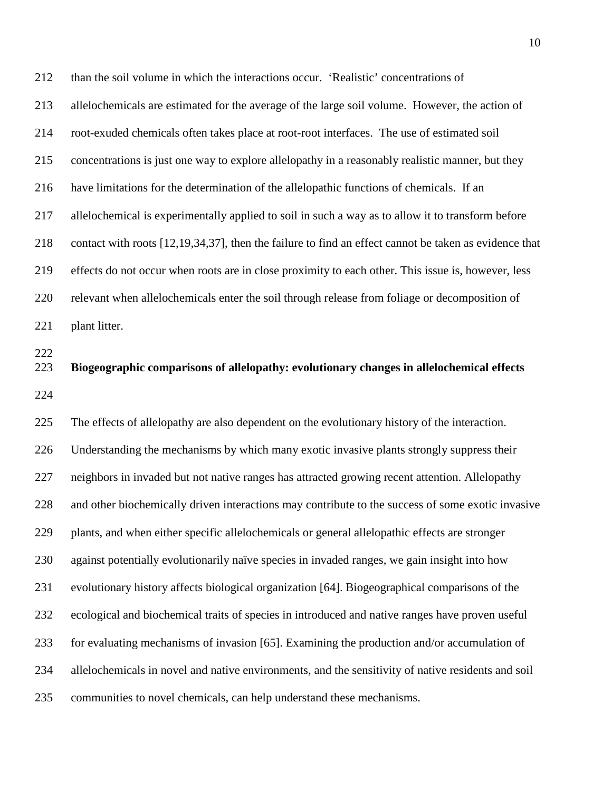than the soil volume in which the interactions occur. 'Realistic' concentrations of allelochemicals are estimated for the average of the large soil volume. However, the action of root-exuded chemicals often takes place at root-root interfaces. The use of estimated soil concentrations is just one way to explore allelopathy in a reasonably realistic manner, but they have limitations for the determination of the allelopathic functions of chemicals. If an allelochemical is experimentally applied to soil in such a way as to allow it to transform before contact with roots [12,19,34,37], then the failure to find an effect cannot be taken as evidence that effects do not occur when roots are in close proximity to each other. This issue is, however, less relevant when allelochemicals enter the soil through release from foliage or decomposition of 221 plant litter. **Biogeographic comparisons of allelopathy: evolutionary changes in allelochemical effects** The effects of allelopathy are also dependent on the evolutionary history of the interaction. Understanding the mechanisms by which many exotic invasive plants strongly suppress their neighbors in invaded but not native ranges has attracted growing recent attention. Allelopathy and other biochemically driven interactions may contribute to the success of some exotic invasive plants, and when either specific allelochemicals or general allelopathic effects are stronger against potentially evolutionarily naïve species in invaded ranges, we gain insight into how evolutionary history affects biological organization [64]. Biogeographical comparisons of the ecological and biochemical traits of species in introduced and native ranges have proven useful for evaluating mechanisms of invasion [65]. Examining the production and/or accumulation of allelochemicals in novel and native environments, and the sensitivity of native residents and soil communities to novel chemicals, can help understand these mechanisms.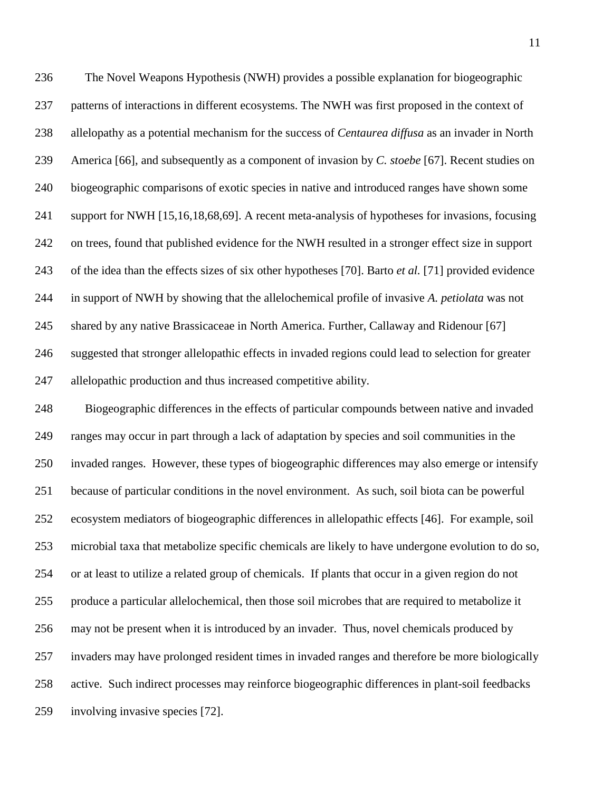The Novel Weapons Hypothesis (NWH) provides a possible explanation for biogeographic patterns of interactions in different ecosystems. The NWH was first proposed in the context of allelopathy as a potential mechanism for the success of *Centaurea diffusa* as an invader in North America [66], and subsequently as a component of invasion by *C. stoebe* [67]. Recent studies on biogeographic comparisons of exotic species in native and introduced ranges have shown some support for NWH [15,16,18,68,69]. A recent meta-analysis of hypotheses for invasions, focusing on trees, found that published evidence for the NWH resulted in a stronger effect size in support of the idea than the effects sizes of six other hypotheses [70]. Barto *et al.* [71] provided evidence in support of NWH by showing that the allelochemical profile of invasive *A. petiolata* was not shared by any native Brassicaceae in North America. Further, Callaway and Ridenour [67] suggested that stronger allelopathic effects in invaded regions could lead to selection for greater allelopathic production and thus increased competitive ability. Biogeographic differences in the effects of particular compounds between native and invaded ranges may occur in part through a lack of adaptation by species and soil communities in the invaded ranges. However, these types of biogeographic differences may also emerge or intensify because of particular conditions in the novel environment. As such, soil biota can be powerful ecosystem mediators of biogeographic differences in allelopathic effects [46]. For example, soil microbial taxa that metabolize specific chemicals are likely to have undergone evolution to do so, or at least to utilize a related group of chemicals. If plants that occur in a given region do not produce a particular allelochemical, then those soil microbes that are required to metabolize it may not be present when it is introduced by an invader. Thus, novel chemicals produced by invaders may have prolonged resident times in invaded ranges and therefore be more biologically active. Such indirect processes may reinforce biogeographic differences in plant-soil feedbacks involving invasive species [72].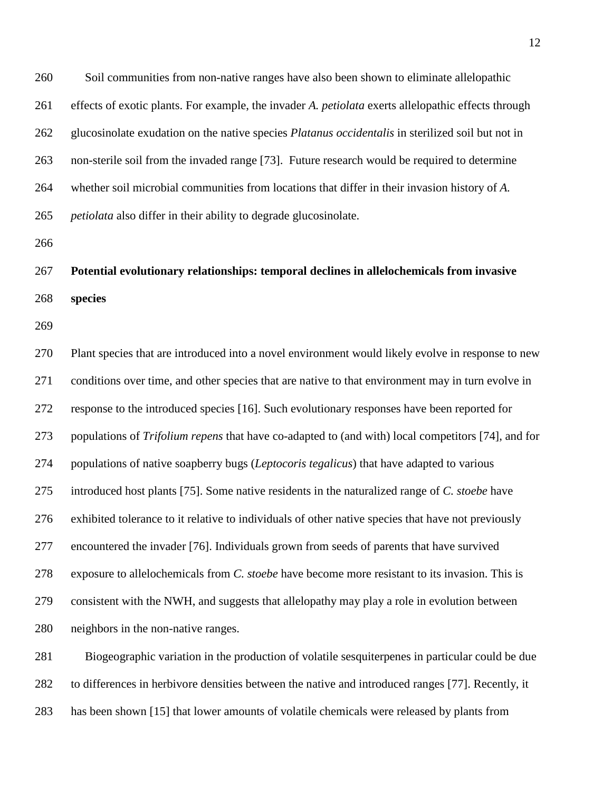Soil communities from non-native ranges have also been shown to eliminate allelopathic effects of exotic plants. For example, the invader *A. petiolata* exerts allelopathic effects through glucosinolate exudation on the native species *Platanus occidentalis* in sterilized soil but not in non-sterile soil from the invaded range [73]. Future research would be required to determine whether soil microbial communities from locations that differ in their invasion history of *A. petiolata* also differ in their ability to degrade glucosinolate.

 **Potential evolutionary relationships: temporal declines in allelochemicals from invasive species** 

 Plant species that are introduced into a novel environment would likely evolve in response to new conditions over time, and other species that are native to that environment may in turn evolve in response to the introduced species [16]. Such evolutionary responses have been reported for populations of *Trifolium repens* that have co-adapted to (and with) local competitors [74], and for populations of native soapberry bugs (*Leptocoris tegalicus*) that have adapted to various introduced host plants [75]. Some native residents in the naturalized range of *C. stoebe* have exhibited tolerance to it relative to individuals of other native species that have not previously encountered the invader [76]. Individuals grown from seeds of parents that have survived exposure to allelochemicals from *C. stoebe* have become more resistant to its invasion. This is consistent with the NWH, and suggests that allelopathy may play a role in evolution between neighbors in the non-native ranges.

 Biogeographic variation in the production of volatile sesquiterpenes in particular could be due to differences in herbivore densities between the native and introduced ranges [77]. Recently, it has been shown [15] that lower amounts of volatile chemicals were released by plants from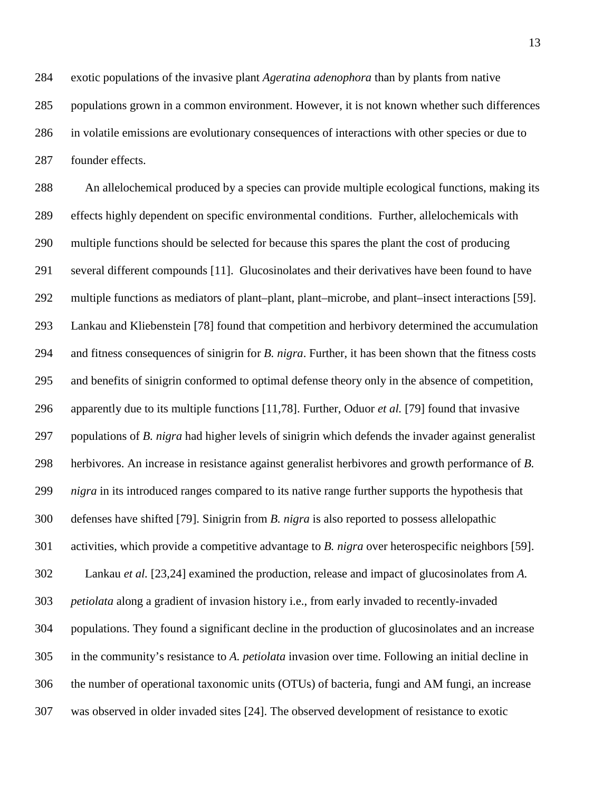exotic populations of the invasive plant *Ageratina adenophora* than by plants from native populations grown in a common environment. However, it is not known whether such differences in volatile emissions are evolutionary consequences of interactions with other species or due to founder effects.

 An allelochemical produced by a species can provide multiple ecological functions, making its effects highly dependent on specific environmental conditions. Further, allelochemicals with multiple functions should be selected for because this spares the plant the cost of producing several different compounds [11]. Glucosinolates and their derivatives have been found to have multiple functions as mediators of plant–plant, plant–microbe, and plant–insect interactions [59]. Lankau and Kliebenstein [78] found that competition and herbivory determined the accumulation and fitness consequences of sinigrin for *B. nigra*. Further, it has been shown that the fitness costs and benefits of sinigrin conformed to optimal defense theory only in the absence of competition, apparently due to its multiple functions [11,78]. Further, Oduor *et al.* [79] found that invasive populations of *B. nigra* had higher levels of sinigrin which defends the invader against generalist herbivores. An increase in resistance against generalist herbivores and growth performance of *B. nigra* in its introduced ranges compared to its native range further supports the hypothesis that defenses have shifted [79]. Sinigrin from *B. nigra* is also reported to possess allelopathic activities, which provide a competitive advantage to *B. nigra* over heterospecific neighbors [59]. Lankau *et al.* [23,24] examined the production, release and impact of glucosinolates from *A. petiolata* along a gradient of invasion history i.e., from early invaded to recently-invaded populations. They found a significant decline in the production of glucosinolates and an increase in the community's resistance to *A. petiolata* invasion over time. Following an initial decline in the number of operational taxonomic units (OTUs) of bacteria, fungi and AM fungi, an increase was observed in older invaded sites [24]. The observed development of resistance to exotic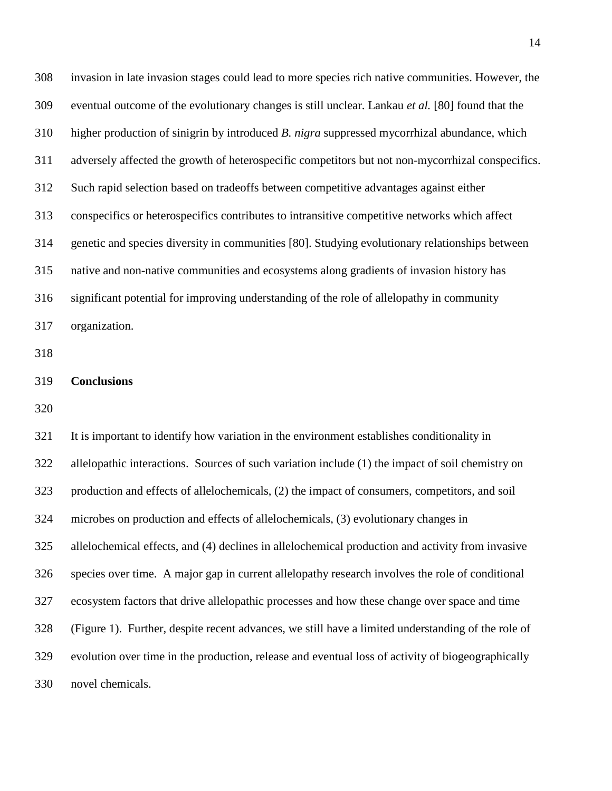invasion in late invasion stages could lead to more species rich native communities. However, the eventual outcome of the evolutionary changes is still unclear. Lankau *et al.* [80] found that the higher production of sinigrin by introduced *B. nigra* suppressed mycorrhizal abundance, which adversely affected the growth of heterospecific competitors but not non-mycorrhizal conspecifics. Such rapid selection based on tradeoffs between competitive advantages against either conspecifics or heterospecifics contributes to intransitive competitive networks which affect genetic and species diversity in communities [80]. Studying evolutionary relationships between native and non-native communities and ecosystems along gradients of invasion history has significant potential for improving understanding of the role of allelopathy in community organization.

| 319 | <b>Conclusions</b> |
|-----|--------------------|
|     |                    |
|     |                    |

 It is important to identify how variation in the environment establishes conditionality in allelopathic interactions. Sources of such variation include (1) the impact of soil chemistry on production and effects of allelochemicals, (2) the impact of consumers, competitors, and soil microbes on production and effects of allelochemicals, (3) evolutionary changes in allelochemical effects, and (4) declines in allelochemical production and activity from invasive species over time. A major gap in current allelopathy research involves the role of conditional ecosystem factors that drive allelopathic processes and how these change over space and time (Figure 1). Further, despite recent advances, we still have a limited understanding of the role of evolution over time in the production, release and eventual loss of activity of biogeographically novel chemicals.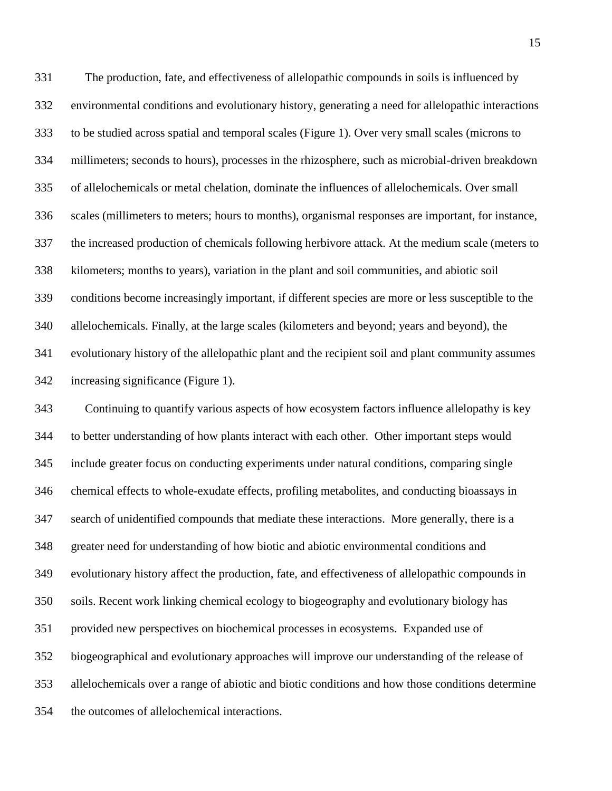The production, fate, and effectiveness of allelopathic compounds in soils is influenced by environmental conditions and evolutionary history, generating a need for allelopathic interactions to be studied across spatial and temporal scales (Figure 1). Over very small scales (microns to millimeters; seconds to hours), processes in the rhizosphere, such as microbial-driven breakdown of allelochemicals or metal chelation, dominate the influences of allelochemicals. Over small scales (millimeters to meters; hours to months), organismal responses are important, for instance, the increased production of chemicals following herbivore attack. At the medium scale (meters to kilometers; months to years), variation in the plant and soil communities, and abiotic soil conditions become increasingly important, if different species are more or less susceptible to the allelochemicals. Finally, at the large scales (kilometers and beyond; years and beyond), the evolutionary history of the allelopathic plant and the recipient soil and plant community assumes increasing significance (Figure 1).

 Continuing to quantify various aspects of how ecosystem factors influence allelopathy is key to better understanding of how plants interact with each other. Other important steps would include greater focus on conducting experiments under natural conditions, comparing single chemical effects to whole-exudate effects, profiling metabolites, and conducting bioassays in search of unidentified compounds that mediate these interactions. More generally, there is a greater need for understanding of how biotic and abiotic environmental conditions and evolutionary history affect the production, fate, and effectiveness of allelopathic compounds in soils. Recent work linking chemical ecology to biogeography and evolutionary biology has provided new perspectives on biochemical processes in ecosystems. Expanded use of biogeographical and evolutionary approaches will improve our understanding of the release of allelochemicals over a range of abiotic and biotic conditions and how those conditions determine the outcomes of allelochemical interactions.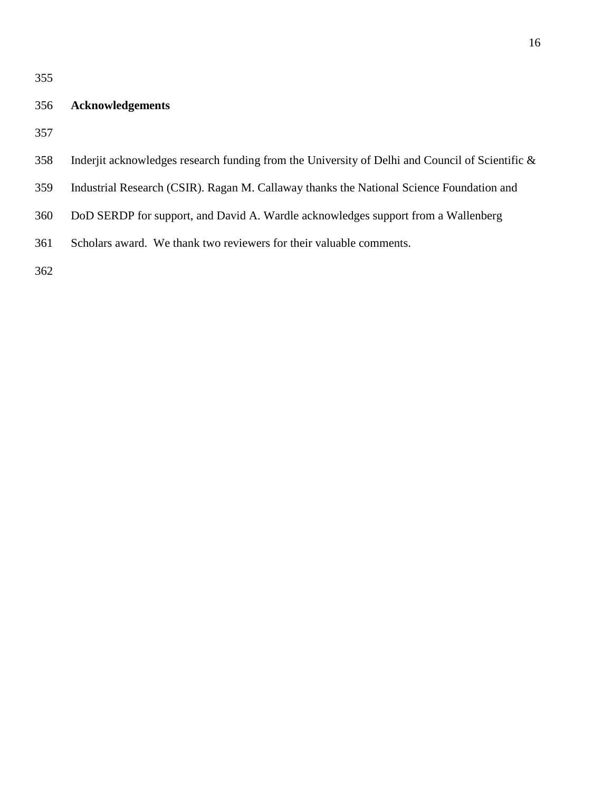### **Acknowledgements**

- Inderjit acknowledges research funding from the University of Delhi and Council of Scientific &
- Industrial Research (CSIR). Ragan M. Callaway thanks the National Science Foundation and
- DoD SERDP for support, and David A. Wardle acknowledges support from a Wallenberg
- Scholars award. We thank two reviewers for their valuable comments.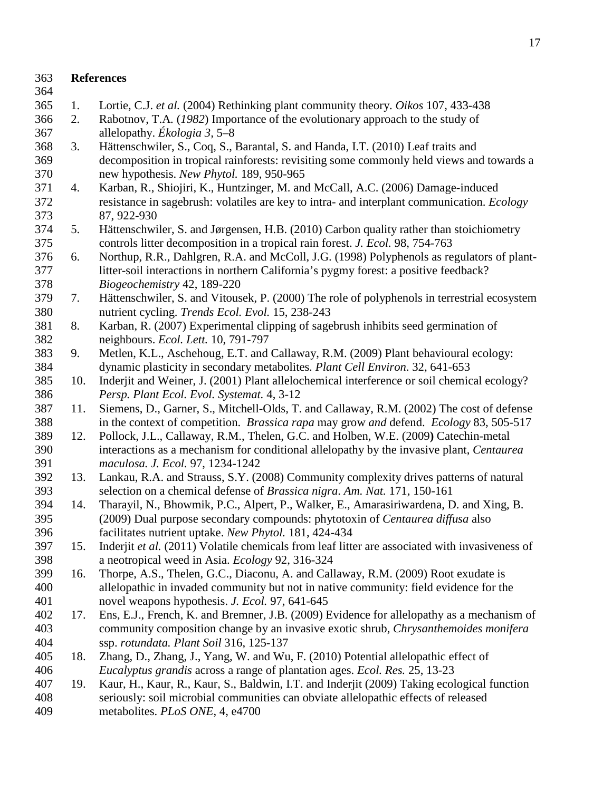| 363<br>364 | <b>References</b> |                                                                                                                                                                 |  |  |  |
|------------|-------------------|-----------------------------------------------------------------------------------------------------------------------------------------------------------------|--|--|--|
| 365        | 1.                | Lortie, C.J. et al. (2004) Rethinking plant community theory. Oikos 107, 433-438                                                                                |  |  |  |
| 366        | 2.                | Rabotnov, T.A. (1982) Importance of the evolutionary approach to the study of                                                                                   |  |  |  |
| 367        |                   | allelopathy. Ekologia 3, 5–8                                                                                                                                    |  |  |  |
| 368        | 3.                | Hättenschwiler, S., Coq, S., Barantal, S. and Handa, I.T. (2010) Leaf traits and                                                                                |  |  |  |
| 369        |                   | decomposition in tropical rainforests: revisiting some commonly held views and towards a                                                                        |  |  |  |
| 370        |                   | new hypothesis. New Phytol. 189, 950-965                                                                                                                        |  |  |  |
| 371        | 4.                | Karban, R., Shiojiri, K., Huntzinger, M. and McCall, A.C. (2006) Damage-induced                                                                                 |  |  |  |
| 372        |                   | resistance in sagebrush: volatiles are key to intra- and interplant communication. Ecology                                                                      |  |  |  |
| 373        |                   | 87, 922-930                                                                                                                                                     |  |  |  |
| 374        | 5.                | Hättenschwiler, S. and Jørgensen, H.B. (2010) Carbon quality rather than stoichiometry                                                                          |  |  |  |
| 375        |                   | controls litter decomposition in a tropical rain forest. J. Ecol. 98, 754-763                                                                                   |  |  |  |
| 376        | 6.                | Northup, R.R., Dahlgren, R.A. and McColl, J.G. (1998) Polyphenols as regulators of plant-                                                                       |  |  |  |
| 377        |                   | litter-soil interactions in northern California's pygmy forest: a positive feedback?                                                                            |  |  |  |
| 378        |                   | Biogeochemistry 42, 189-220                                                                                                                                     |  |  |  |
| 379        | 7.                | Hättenschwiler, S. and Vitousek, P. (2000) The role of polyphenols in terrestrial ecosystem                                                                     |  |  |  |
| 380        |                   | nutrient cycling. Trends Ecol. Evol. 15, 238-243                                                                                                                |  |  |  |
| 381        | 8.                | Karban, R. (2007) Experimental clipping of sagebrush inhibits seed germination of                                                                               |  |  |  |
| 382        |                   | neighbours. Ecol. Lett. 10, 791-797                                                                                                                             |  |  |  |
| 383        | 9.                | Metlen, K.L., Aschehoug, E.T. and Callaway, R.M. (2009) Plant behavioural ecology:                                                                              |  |  |  |
| 384        |                   | dynamic plasticity in secondary metabolites. Plant Cell Environ. 32, 641-653                                                                                    |  |  |  |
| 385        | 10.               | Inderjit and Weiner, J. (2001) Plant allelochemical interference or soil chemical ecology?                                                                      |  |  |  |
| 386        |                   | Persp. Plant Ecol. Evol. Systemat. 4, 3-12                                                                                                                      |  |  |  |
| 387        | 11.               | Siemens, D., Garner, S., Mitchell-Olds, T. and Callaway, R.M. (2002) The cost of defense                                                                        |  |  |  |
| 388        |                   | in the context of competition. Brassica rapa may grow and defend. Ecology 83, 505-517                                                                           |  |  |  |
| 389        | 12.               | Pollock, J.L., Callaway, R.M., Thelen, G.C. and Holben, W.E. (2009) Catechin-metal                                                                              |  |  |  |
| 390        |                   | interactions as a mechanism for conditional allelopathy by the invasive plant, Centaurea                                                                        |  |  |  |
| 391        |                   | maculosa. J. Ecol. 97, 1234-1242                                                                                                                                |  |  |  |
| 392        | 13.               | Lankau, R.A. and Strauss, S.Y. (2008) Community complexity drives patterns of natural                                                                           |  |  |  |
| 393        |                   | selection on a chemical defense of Brassica nigra. Am. Nat. 171, 150-161                                                                                        |  |  |  |
| 394        | 14.               | Tharayil, N., Bhowmik, P.C., Alpert, P., Walker, E., Amarasiriwardena, D. and Xing, B.                                                                          |  |  |  |
| 395        |                   | (2009) Dual purpose secondary compounds: phytotoxin of <i>Centaurea diffusa</i> also                                                                            |  |  |  |
| 396        |                   | facilitates nutrient uptake. New Phytol. 181, 424-434                                                                                                           |  |  |  |
| 397        | 15.               | Inderjit et al. (2011) Volatile chemicals from leaf litter are associated with invasiveness of                                                                  |  |  |  |
| 398        |                   | a neotropical weed in Asia. Ecology 92, 316-324                                                                                                                 |  |  |  |
| 399        | 16.               | Thorpe, A.S., Thelen, G.C., Diaconu, A. and Callaway, R.M. (2009) Root exudate is                                                                               |  |  |  |
| 400        |                   | allelopathic in invaded community but not in native community: field evidence for the                                                                           |  |  |  |
| 401        |                   | novel weapons hypothesis. J. Ecol. 97, 641-645                                                                                                                  |  |  |  |
| 402        | 17.               | Ens, E.J., French, K. and Bremner, J.B. (2009) Evidence for allelopathy as a mechanism of                                                                       |  |  |  |
| 403<br>404 |                   | community composition change by an invasive exotic shrub, Chrysanthemoides monifera<br>ssp. rotundata. Plant Soil 316, 125-137                                  |  |  |  |
| 405        |                   |                                                                                                                                                                 |  |  |  |
| 406        | 18.               | Zhang, D., Zhang, J., Yang, W. and Wu, F. (2010) Potential allelopathic effect of<br>Eucalyptus grandis across a range of plantation ages. Ecol. Res. 25, 13-23 |  |  |  |
| 407        | 19.               | Kaur, H., Kaur, R., Kaur, S., Baldwin, I.T. and Inderjit (2009) Taking ecological function                                                                      |  |  |  |
| 408        |                   | seriously: soil microbial communities can obviate allelopathic effects of released                                                                              |  |  |  |
| 409        |                   | metabolites. PLoS ONE, 4, e4700                                                                                                                                 |  |  |  |
|            |                   |                                                                                                                                                                 |  |  |  |
|            |                   |                                                                                                                                                                 |  |  |  |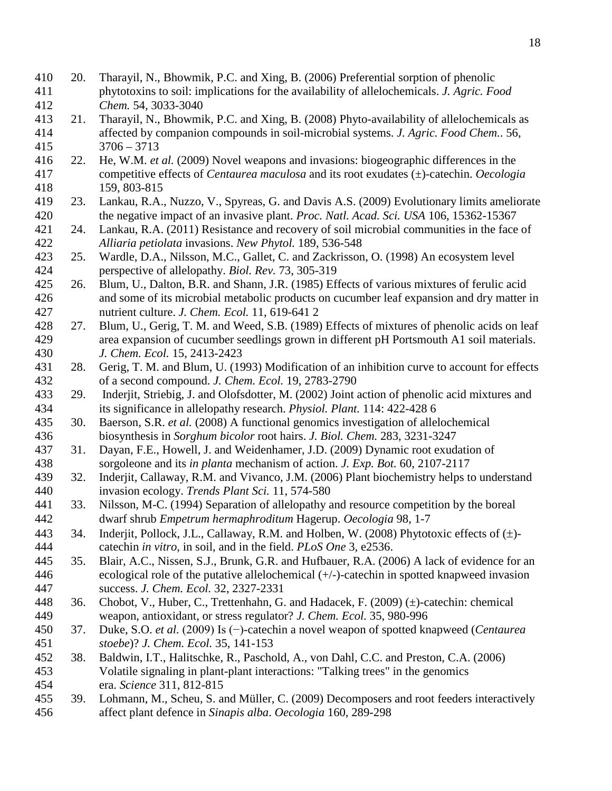- 20. Tharayil, N., Bhowmik, P.C. and Xing, B. (2006) Preferential sorption of phenolic phytotoxins to soil: implications for the availability of allelochemicals. *J. Agric. Food Chem.* 54, 3033-3040
- 21. Tharayil, N., Bhowmik, P.C. and Xing, B. (2008) Phyto-availability of allelochemicals as affected by companion compounds in soil-microbial systems. *J. Agric. Food Chem.*. 56, 3706 – 3713
- 22. He, W.M. *et al.* (2009) Novel weapons and invasions: biogeographic differences in the competitive effects of *Centaurea maculosa* and its root exudates (±)-catechin. *Oecologia*  159, 803-815
- 23. Lankau, R.A., Nuzzo, V., Spyreas, G. and Davis A.S. (2009) Evolutionary limits ameliorate the negative impact of an invasive plant. *Proc. Natl. Acad. Sci. USA* 106, 15362-15367
- 24. Lankau, R.A. (2011) Resistance and recovery of soil microbial communities in the face of *Alliaria petiolata* invasions. *New Phytol.* 189, 536-548
- 25. Wardle, D.A., Nilsson, M.C., Gallet, C. and Zackrisson, O. (1998) An ecosystem level perspective of allelopathy. *Biol. Rev.* 73, 305-319
- 26. Blum, U., Dalton, B.R. and Shann, J.R. (1985) Effects of various mixtures of ferulic acid and some of its microbial metabolic products on cucumber leaf expansion and dry matter in nutrient culture. *J. Chem. Ecol.* 11, 619-641 2
- 27. Blum, U., Gerig, T. M. and Weed, S.B. (1989) Effects of mixtures of phenolic acids on leaf area expansion of cucumber seedlings grown in different pH Portsmouth A1 soil materials. *J. Chem. Ecol.* 15, 2413-2423
- 28. Gerig, T. M. and Blum, U. (1993) Modification of an inhibition curve to account for effects of a second compound. *J. Chem. Ecol.* 19, 2783-2790
- 29. Inderjit, Striebig, J. and Olofsdotter, M. (2002) Joint action of phenolic acid mixtures and its significance in allelopathy research. *Physiol. Plant.* 114: 422-428 6
- 30. Baerson, S.R. *et al.* (2008) A functional genomics investigation of allelochemical biosynthesis in *Sorghum bicolor* root hairs. *J. Biol. Chem.* 283, 3231-3247
- 31. Dayan, F.E., Howell, J. and Weidenhamer, J.D. (2009) Dynamic root exudation of sorgoleone and its *in planta* mechanism of action. *J. Exp. Bot.* 60, 2107-2117
- 32. Inderjit, Callaway, R.M. and Vivanco, J.M. (2006) Plant biochemistry helps to understand invasion ecology. *Trends Plant Sci.* 11, 574-580
- 33. Nilsson, M-C. (1994) Separation of allelopathy and resource competition by the boreal dwarf shrub *Empetrum hermaphroditum* Hagerup. *Oecologia* 98, 1-7
- 443 34. Inderjit, Pollock, J.L., Callaway, R.M. and Holben, W. (2008) Phytotoxic effects of  $(\pm)$ -catechin *in vitro*, in soil, and in the field. *PLoS One* 3, e2536.
- 35. Blair, A.C., Nissen, S.J., Brunk, G.R. and Hufbauer, R.A. (2006) A lack of evidence for an ecological role of the putative allelochemical (+/-)-catechin in spotted knapweed invasion success. *J. Chem. Ecol.* 32, 2327-2331
- 36. Chobot, V., Huber, C., Trettenhahn, G. and Hadacek, F. (2009) (±)-catechin: chemical weapon, antioxidant, or stress regulator? *J. Chem. Ecol.* 35, 980-996
- 37. Duke, S.O. *et al.* (2009) Is (−)-catechin a novel weapon of spotted knapweed (*Centaurea stoebe*)? *J. Chem. Ecol.* 35, 141-153
- 38. Baldwin, I.T., Halitschke, R., Paschold, A., von Dahl, C.C. and Preston, C.A. (2006) Volatile signaling in plant-plant interactions: "Talking trees" in the genomics era. *Science* 311, 812-815
- 39. Lohmann, M., Scheu, S. and Müller, C. (2009) Decomposers and root feeders interactively affect plant defence in *Sinapis alba*. *Oecologia* 160, 289-298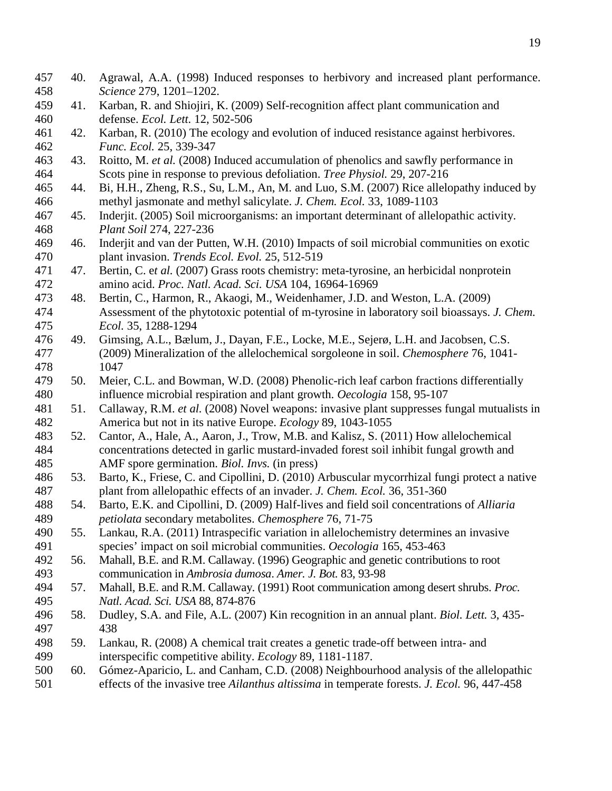40. Agrawal, A.A. (1998) Induced responses to herbivory and increased plant performance. *Science* 279, 1201–1202. 41. Karban, R. and Shiojiri, K. (2009) Self-recognition affect plant communication and defense. *Ecol. Lett.* 12, 502-506 42. Karban, R. (2010) The ecology and evolution of induced resistance against herbivores. *Func. Ecol.* 25, 339-347 43. Roitto, M. *et al.* (2008) Induced accumulation of phenolics and sawfly performance in Scots pine in response to previous defoliation. *Tree Physiol.* 29, 207-216 44. Bi, H.H., Zheng, R.S., Su, L.M., An, M. and Luo, S.M. (2007) Rice allelopathy induced by methyl jasmonate and methyl salicylate. *J. Chem. Ecol.* 33, 1089-1103 45. Inderjit. (2005) Soil microorganisms: an important determinant of allelopathic activity. *Plant Soil* 274, 227-236 46. Inderjit and van der Putten, W.H. (2010) Impacts of soil microbial communities on exotic plant invasion. *Trends Ecol. Evol.* 25, 512-519 47. Bertin, C. e*t al.* (2007) Grass roots chemistry: meta-tyrosine, an herbicidal nonprotein amino acid. *Proc. Natl. Acad. Sci. USA* 104, 16964-16969 48. Bertin, C., Harmon, R., Akaogi, M., Weidenhamer, J.D. and Weston, L.A. (2009) Assessment of the phytotoxic potential of m-tyrosine in laboratory soil bioassays. *J. Chem. Ecol.* 35, 1288-1294 49. Gimsing, A.L., Bælum, J., Dayan, F.E., Locke, M.E., Sejerø, L.H. and Jacobsen, C.S. (2009) Mineralization of the allelochemical sorgoleone in soil. *Chemosphere* 76, 1041- 1047 50. Meier, C.L. and Bowman, W.D. (2008) Phenolic-rich leaf carbon fractions differentially influence microbial respiration and plant growth. *Oecologia* 158, 95-107 51. Callaway, R.M. *et al.* (2008) Novel weapons: invasive plant suppresses fungal mutualists in America but not in its native Europe. *Ecology* 89, 1043-1055 52. Cantor, A., Hale, A., Aaron, J., Trow, M.B. and Kalisz, S. (2011) How allelochemical concentrations detected in garlic mustard-invaded forest soil inhibit fungal growth and AMF spore germination. *Biol. Invs.* (in press) 53. Barto, K., Friese, C. and Cipollini, D. (2010) Arbuscular mycorrhizal fungi protect a native plant from allelopathic effects of an invader. *J. Chem. Ecol.* 36, 351-360 54. Barto, E.K. and Cipollini, D. (2009) Half-lives and field soil concentrations of *Alliaria petiolata* secondary metabolites. *Chemosphere* 76, 71-75 55. Lankau, R.A. (2011) Intraspecific variation in allelochemistry determines an invasive species' impact on soil microbial communities. *Oecologia* 165, 453-463 56. Mahall, B.E. and R.M. Callaway. (1996) Geographic and genetic contributions to root communication in *Ambrosia dumosa*. *Amer. J. Bot.* 83, 93-98 57. Mahall, B.E. and R.M. Callaway. (1991) Root communication among desert shrubs. *Proc. Natl. Acad. Sci. USA* 88, 874-876 58. Dudley, S.A. and File, A.L. (2007) Kin recognition in an annual plant. *Biol. Lett.* 3, 435- 438 59. Lankau, R. (2008) A chemical trait creates a genetic trade-off between intra- and interspecific competitive ability. *Ecology* 89, 1181-1187. 60. Gómez-Aparicio, L. and Canham, C.D. (2008) Neighbourhood analysis of the allelopathic effects of the invasive tree *Ailanthus altissima* in temperate forests. *J. Ecol.* 96, 447-458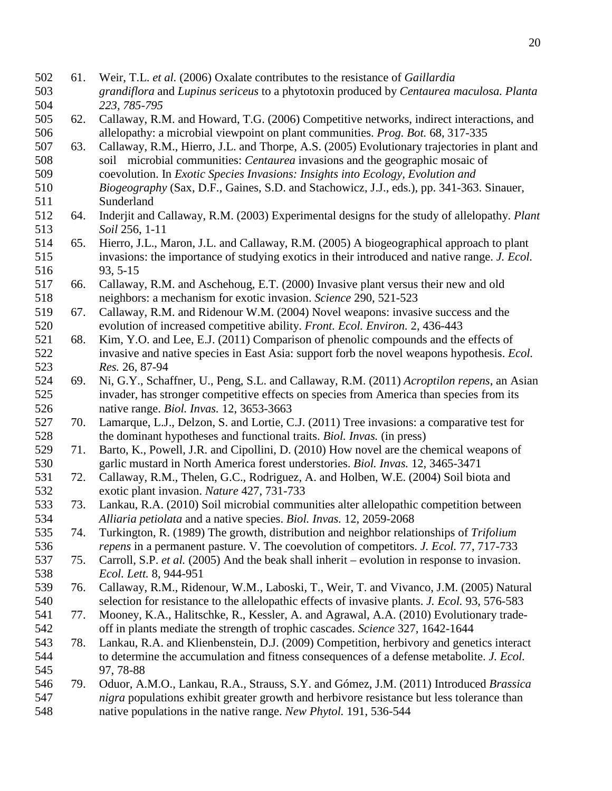- 61. Weir, T.L. *et al.* (2006) Oxalate contributes to the resistance of *Gaillardia grandiflora* and *Lupinus sericeus* to a phytotoxin produced by *Centaurea maculosa. Planta 223, 785-795* 62. Callaway, R.M. and Howard, T.G. (2006) Competitive networks, indirect interactions, and allelopathy: a microbial viewpoint on plant communities. *Prog. Bot.* 68, 317-335 63. Callaway, R.M., Hierro, J.L. and Thorpe, A.S. (2005) Evolutionary trajectories in plant and soil microbial communities: *Centaurea* invasions and the geographic mosaic of coevolution. In *Exotic Species Invasions: Insights into Ecology, Evolution and Biogeography* (Sax, D.F., Gaines, S.D. and Stachowicz, J.J., eds.), pp. 341-363. Sinauer, Sunderland 64. Inderjit and Callaway, R.M. (2003) Experimental designs for the study of allelopathy. *Plant Soil* 256, 1-11 65. Hierro, J.L., Maron, J.L. and Callaway, R.M. (2005) A biogeographical approach to plant invasions: the importance of studying exotics in their introduced and native range. *J. Ecol.* 516 93, 5-15<br>517 66. Callaway 66. Callaway, R.M. and Aschehoug, E.T. (2000) Invasive plant versus their new and old neighbors: a mechanism for exotic invasion. *Science* 290, 521-523 67. Callaway, R.M. and Ridenour W.M. (2004) Novel weapons: invasive success and the evolution of increased competitive ability. *Front. Ecol. Environ.* 2, 436-443 68. Kim, Y.O. and Lee, E.J. (2011) Comparison of phenolic compounds and the effects of invasive and native species in East Asia: support forb the novel weapons hypothesis. *Ecol. Res.* 26, 87-94 69. Ni, G.Y., Schaffner, U., Peng, S.L. and Callaway, R.M. (2011) *Acroptilon repens*, an Asian invader, has stronger competitive effects on species from America than species from its native range. *Biol. Invas.* 12, 3653-3663 70. Lamarque, L.J., Delzon, S. and Lortie, C.J. (2011) Tree invasions: a comparative test for the dominant hypotheses and functional traits. *Biol. Invas.* (in press) 71. Barto, K., Powell, J.R. and Cipollini, D. (2010) How novel are the chemical weapons of garlic mustard in North America forest understories. *Biol. Invas.* 12, 3465-3471 72. Callaway, R.M., Thelen, G.C., Rodriguez, A. and Holben, W.E. (2004) Soil biota and exotic plant invasion. *Nature* 427, 731-733 73. Lankau, R.A. (2010) Soil microbial communities alter allelopathic competition between *Alliaria petiolata* and a native species. *Biol. Invas.* 12, 2059-2068 74. Turkington, R. (1989) The growth, distribution and neighbor relationships of *Trifolium repens* in a permanent pasture. V. The coevolution of competitors. *J. Ecol.* 77, 717-733 75. Carroll, S.P. *et al.* (2005) And the beak shall inherit – evolution in response to invasion. *Ecol. Lett.* 8, 944-951
- 76. Callaway, R.M., Ridenour, W.M., Laboski, T., Weir, T. and Vivanco, J.M. (2005) Natural selection for resistance to the allelopathic effects of invasive plants. *J. Ecol.* 93, 576-583
- 77. Mooney, K.A., Halitschke, R., Kessler, A. and Agrawal, A.A. (2010) Evolutionary trade-off in plants mediate the strength of trophic cascades. *Science* 327, 1642-1644
- 78. Lankau, R.A. and Klienbenstein, D.J. (2009) Competition, herbivory and genetics interact to determine the accumulation and fitness consequences of a defense metabolite. *J. Ecol.* 97, 78-88
- 79. Oduor, A.M.O., Lankau, R.A., Strauss, S.Y. and Gómez, J.M. (2011) Introduced *Brassica nigra* populations exhibit greater growth and herbivore resistance but less tolerance than native populations in the native range. *New Phytol.* 191, 536-544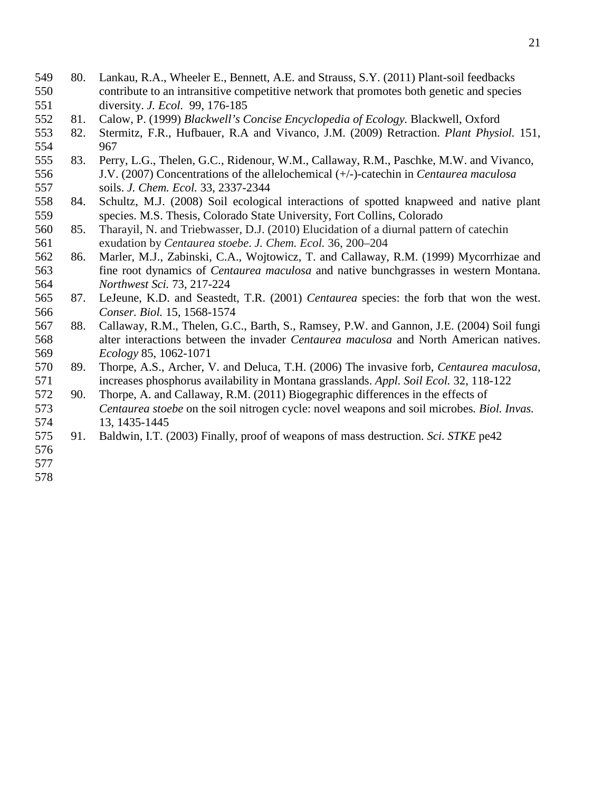- 80. Lankau, R.A., Wheeler E., Bennett, A.E. and Strauss, S.Y. (2011) Plant-soil feedbacks contribute to an intransitive competitive network that promotes both genetic and species diversity. *J. Ecol.* 99, 176-185
- 81. Calow, P. (1999) *Blackwell's Concise Encyclopedia of Ecology.* Blackwell, Oxford
- 82. Stermitz, F.R., Hufbauer, R.A and Vivanco, J.M. (2009) Retraction. *Plant Physiol.* 151, 967
- 83. Perry, L.G., Thelen, G.C., Ridenour, W.M., Callaway, R.M., Paschke, M.W. and Vivanco, J.V. (2007) Concentrations of the allelochemical (+/-)-catechin in *Centaurea maculosa* soils. *J. Chem. Ecol.* 33, 2337-2344
- 84. Schultz, M.J. (2008) Soil ecological interactions of spotted knapweed and native plant species. M.S. Thesis, Colorado State University, Fort Collins, Colorado
- 85. Tharayil, N. and Triebwasser, D.J. (2010) Elucidation of a diurnal pattern of catechin exudation by *Centaurea stoebe*. *J. Chem. Ecol.* 36, 200–204
- 86. Marler, M.J., Zabinski, C.A., Wojtowicz, T. and Callaway, R.M. (1999) Mycorrhizae and fine root dynamics of *Centaurea maculosa* and native bunchgrasses in western Montana. *Northwest Sci.* 73, 217-224
- 87. LeJeune, K.D. and Seastedt, T.R. (2001) *Centaurea* species: the forb that won the west. *Conser. Biol.* 15, 1568-1574
- 88. Callaway, R.M., Thelen, G.C., Barth, S., Ramsey, P.W. and Gannon, J.E. (2004) Soil fungi alter interactions between the invader *Centaurea maculosa* and North American natives. *Ecology* 85, 1062-1071
- 89. Thorpe, A.S., Archer, V. and Deluca, T.H. (2006) The invasive forb, *Centaurea maculosa*, increases phosphorus availability in Montana grasslands. *Appl. Soil Ecol.* 32, 118-122
- 90. Thorpe, A. and Callaway, R.M. (2011) Biogegraphic differences in the effects of *Centaurea stoebe* on the soil nitrogen cycle: novel weapons and soil microbes*. Biol. Invas.*  13, 1435-1445
- 91. Baldwin, I.T. (2003) Finally, proof of weapons of mass destruction. *Sci. STKE* pe42
- 
-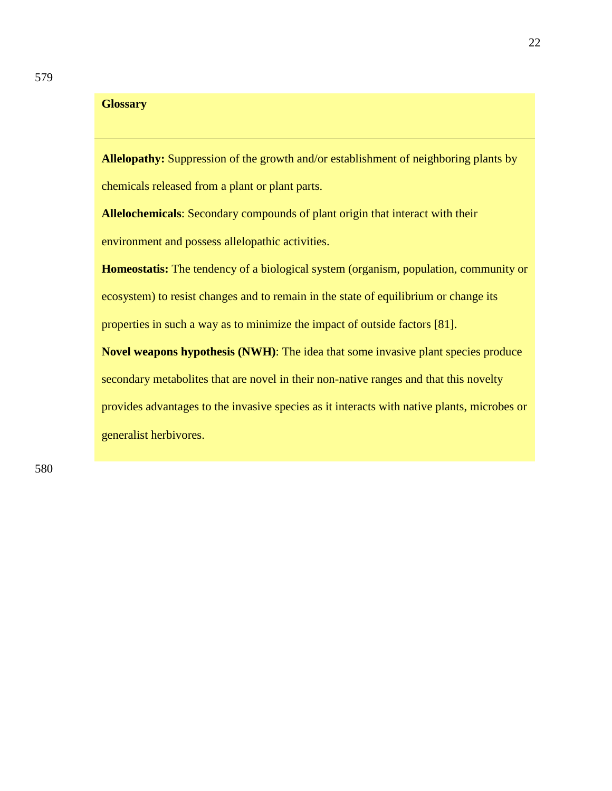### **Glossary**

**Allelopathy:** Suppression of the growth and/or establishment of neighboring plants by chemicals released from a plant or plant parts.

**Allelochemicals**: Secondary compounds of plant origin that interact with their environment and possess allelopathic activities.

**Homeostatis:** The tendency of a biological system (organism, population, community or ecosystem) to resist changes and to remain in the state of equilibrium or change its properties in such a way as to minimize the impact of outside factors [81].

**Novel weapons hypothesis (NWH)**: The idea that some invasive plant species produce secondary metabolites that are novel in their non-native ranges and that this novelty provides advantages to the invasive species as it interacts with native plants, microbes or generalist herbivores.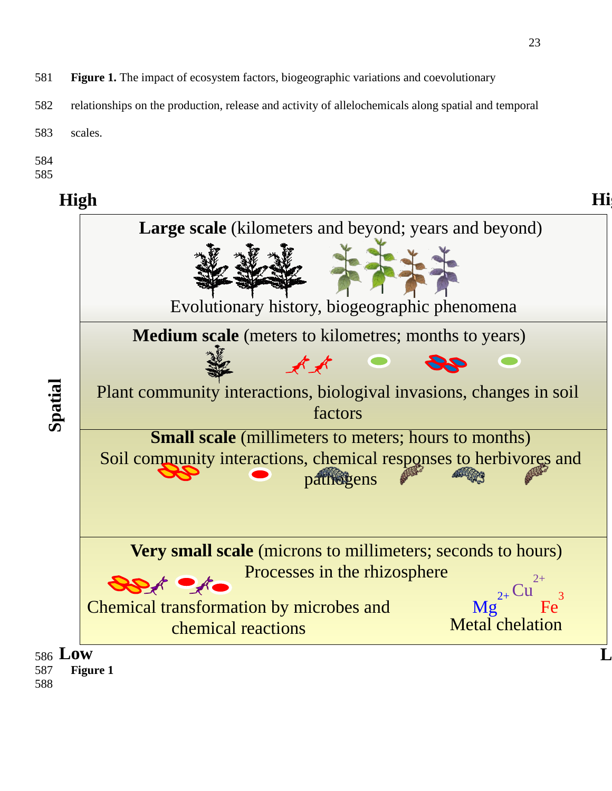- 581 **Figure 1.** The impact of ecosystem factors, biogeographic variations and coevolutionary
- 582 relationships on the production, release and activity of allelochemicals along spatial and temporal
- 583 scales.
- 584
- 585

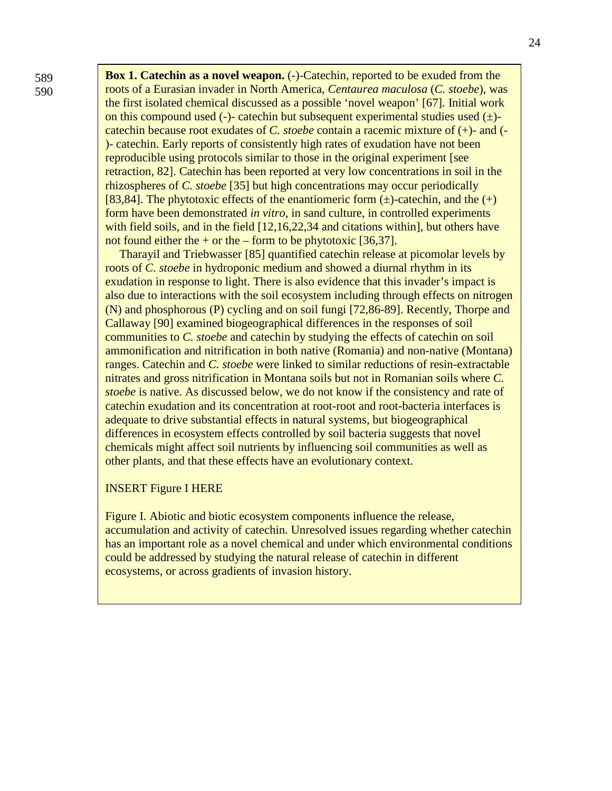**Box 1. Catechin as a novel weapon.** (-)-Catechin, reported to be exuded from the roots of a Eurasian invader in North America, *Centaurea maculosa* (*C. stoebe*), was the first isolated chemical discussed as a possible 'novel weapon' [67]*.* Initial work on this compound used (-)- catechin but subsequent experimental studies used  $(\pm)$ catechin because root exudates of *C. stoebe* contain a racemic mixture of (+)- and (- )- catechin. Early reports of consistently high rates of exudation have not been reproducible using protocols similar to those in the original experiment [see retraction, 82]. Catechin has been reported at very low concentrations in soil in the rhizospheres of *C. stoebe* [35] but high concentrations may occur periodically [83,84]. The phytotoxic effects of the enantiomeric form  $(\pm)$ -catechin, and the  $(+)$ form have been demonstrated *in vitro*, in sand culture, in controlled experiments with field soils, and in the field [12,16,22,34 and citations within], but others have not found either the  $+$  or the – form to be phytotoxic [36,37].

Tharayil and Triebwasser [85] quantified catechin release at picomolar levels by roots of *C. stoebe* in hydroponic medium and showed a diurnal rhythm in its exudation in response to light. There is also evidence that this invader's impact is also due to interactions with the soil ecosystem including through effects on nitrogen (N) and phosphorous (P) cycling and on soil fungi [72,86-89]. Recently, Thorpe and Callaway [90] examined biogeographical differences in the responses of soil communities to *C. stoebe* and catechin by studying the effects of catechin on soil ammonification and nitrification in both native (Romania) and non-native (Montana) ranges. Catechin and *C. stoebe* were linked to similar reductions of resin-extractable nitrates and gross nitrification in Montana soils but not in Romanian soils where *C. stoebe* is native. As discussed below, we do not know if the consistency and rate of catechin exudation and its concentration at root-root and root-bacteria interfaces is adequate to drive substantial effects in natural systems, but biogeographical differences in ecosystem effects controlled by soil bacteria suggests that novel chemicals might affect soil nutrients by influencing soil communities as well as other plants, and that these effects have an evolutionary context.

### INSERT Figure I HERE

Figure I. Abiotic and biotic ecosystem components influence the release, accumulation and activity of catechin. Unresolved issues regarding whether catechin has an important role as a novel chemical and under which environmental conditions could be addressed by studying the natural release of catechin in different ecosystems, or across gradients of invasion history.